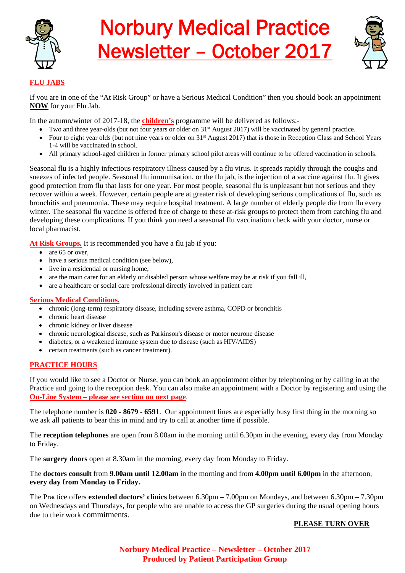

# Norbury Medical Practice Newsletter – October 2017



# **FLU JABS**

If you are in one of the "At Risk Group" or have a Serious Medical Condition" then you should book an appointment **NOW** for your Flu Jab.

In the autumn/winter of 2017-18, the **children's** programme will be delivered as follows:-

- Two and three year-olds (but not four years or older on 31<sup>st</sup> August 2017) will be vaccinated by general practice.
- Four to eight year olds (but not nine years or older on  $31<sup>st</sup>$  August 2017) that is those in Reception Class and School Years 1-4 will be vaccinated in school.
- All primary school-aged children in former primary school pilot areas will continue to be offered vaccination in schools.

Seasonal flu is a highly infectious respiratory illness caused by a flu virus. It spreads rapidly through the coughs and sneezes of infected people. Seasonal flu immunisation, or the flu jab, is the injection of a vaccine against flu. It gives good protection from flu that lasts for one year. For most people, seasonal flu is unpleasant but not serious and they recover within a week. However, certain people are at greater risk of developing serious complications of flu, such as bronchitis and pneumonia. These may require hospital treatment. A large number of elderly people die from flu every winter. The seasonal flu vaccine is offered free of charge to these at-risk groups to protect them from catching flu and developing these complications. If you think you need a seasonal flu vaccination check with your doctor, nurse or local pharmacist.

**At Risk Groups.** It is recommended you have a flu jab if you:

- are 65 or over.
- have a serious medical condition (see below),
- live in a residential or nursing home,
- are the main carer for an elderly or disabled person whose welfare may be at risk if you fall ill,
- are a healthcare or social care professional directly involved in patient care

# **Serious Medical Conditions.**

- chronic (long-term) respiratory disease, including severe asthma, COPD or bronchitis
- chronic heart disease
- chronic kidney or liver disease
- chronic neurological disease, such as Parkinson's disease or motor neurone disease
- diabetes, or a weakened immune system due to disease (such as HIV/AIDS)
- certain treatments (such as cancer treatment).

# **PRACTICE HOURS**

If you would like to see a Doctor or Nurse, you can book an appointment either by telephoning or by calling in at the Practice and going to the reception desk. You can also make an appointment with a Doctor by registering and using the **On-Line System – please see section on next page**.

The telephone number is **020 - 8679 - 6591**. Our appointment lines are especially busy first thing in the morning so we ask all patients to bear this in mind and try to call at another time if possible.

The **reception telephones** are open from 8.00am in the morning until 6.30pm in the evening, every day from Monday to Friday.

The **surgery doors** open at 8.30am in the morning, every day from Monday to Friday.

The **doctors consult** from **9.00am until 12.00am** in the morning and from **4.00pm until 6.00pm** in the afternoon, **every day from Monday to Friday.**

The Practice offers **extended doctors' clinics** between 6.30pm – 7.00pm on Mondays, and between 6.30pm – 7.30pm on Wednesdays and Thursdays, for people who are unable to access the GP surgeries during the usual opening hours due to their work commitments.

# **PLEASE TURN OVER**

**Norbury Medical Practice – Newsletter – October 2017 Produced by Patient Participation Group**